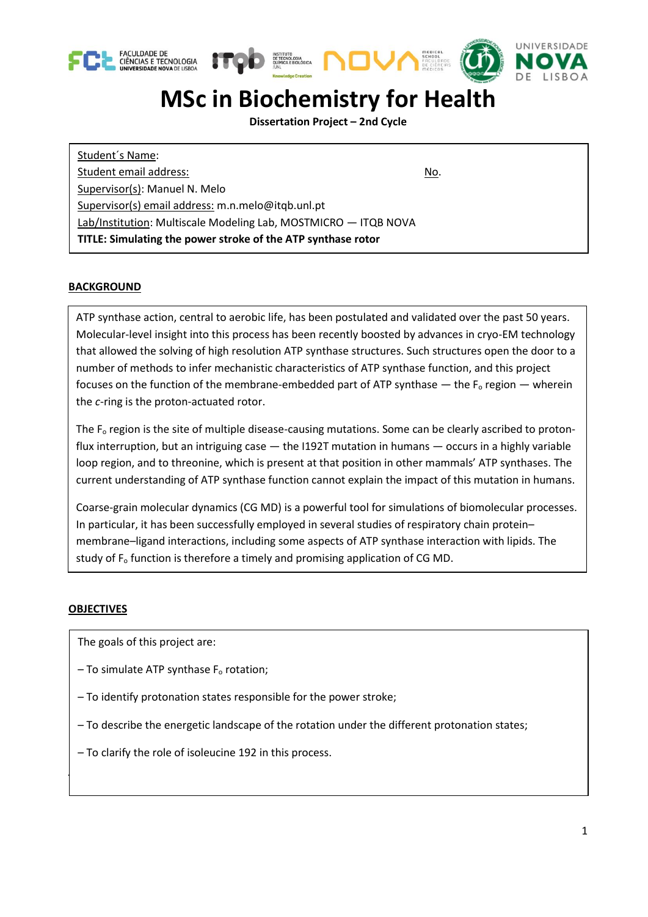





## **MSc in Biochemistry for Health**

**Dissertation Project – 2nd Cycle**

Student´s Name: Student email address: No. 1999 No. 1999 No. 1999 No. 1999 No. 1999 No. 1999 No. 1999 No. 1999 No. 1999 No. 1999 No. 1999 No. 1999 No. 1999 No. 1999 No. 1999 No. 1999 No. 1999 No. 1999 No. 1999 No. 1999 No. 1999 No. 1999 N Supervisor(s): Manuel N. Melo Supervisor(s) email address: m.n.melo@itqb.unl.pt Lab/Institution: Multiscale Modeling Lab, MOSTMICRO — ITQB NOVA **TITLE: Simulating the power stroke of the ATP synthase rotor**

## **BACKGROUND**

ATP synthase action, central to aerobic life, has been postulated and validated over the past 50 years. Molecular-level insight into this process has been recently boosted by advances in cryo-EM technology that allowed the solving of high resolution ATP synthase structures. Such structures open the door to a number of methods to infer mechanistic characteristics of ATP synthase function, and this project focuses on the function of the membrane-embedded part of ATP synthase  $-$  the  $F_0$  region  $-$  wherein the *c*-ring is the proton-actuated rotor.

The  $F<sub>o</sub>$  region is the site of multiple disease-causing mutations. Some can be clearly ascribed to protonflux interruption, but an intriguing case — the I192T mutation in humans — occurs in a highly variable loop region, and to threonine, which is present at that position in other mammals' ATP synthases. The current understanding of ATP synthase function cannot explain the impact of this mutation in humans.

Coarse-grain molecular dynamics (CG MD) is a powerful tool for simulations of biomolecular processes. In particular, it has been successfully employed in several studies of respiratory chain protein– membrane–ligand interactions, including some aspects of ATP synthase interaction with lipids. The study of F<sub>o</sub> function is therefore a timely and promising application of CG MD.

## **OBJECTIVES**

The goals of this project are:

**PROJECT DESCRIPTION**

- $-$  To simulate ATP synthase  $F<sub>o</sub>$  rotation;
- To identify protonation states responsible for the power stroke;
- To describe the energetic landscape of the rotation under the different protonation states;
- To clarify the role of isoleucine 192 in this process.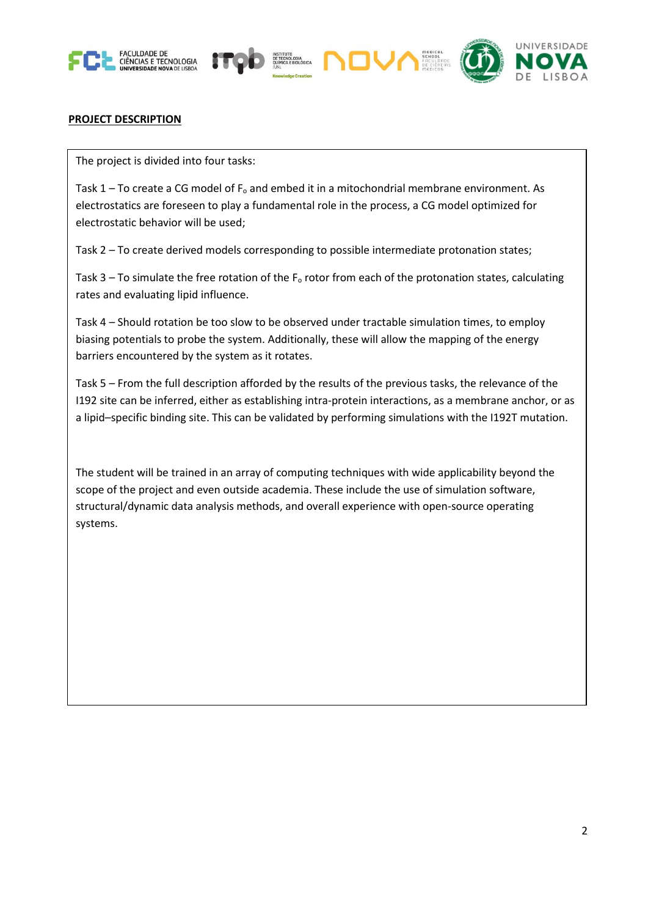





## **PROJECT DESCRIPTION**

The project is divided into four tasks:

Task  $1 -$  To create a CG model of  $F_0$  and embed it in a mitochondrial membrane environment. As electrostatics are foreseen to play a fundamental role in the process, a CG model optimized for electrostatic behavior will be used;

Task 2 – To create derived models corresponding to possible intermediate protonation states;

Task 3 – To simulate the free rotation of the  $F<sub>o</sub>$  rotor from each of the protonation states, calculating rates and evaluating lipid influence.

Task 4 – Should rotation be too slow to be observed under tractable simulation times, to employ biasing potentials to probe the system. Additionally, these will allow the mapping of the energy barriers encountered by the system as it rotates.

Task 5 – From the full description afforded by the results of the previous tasks, the relevance of the I192 site can be inferred, either as establishing intra-protein interactions, as a membrane anchor, or as a lipid–specific binding site. This can be validated by performing simulations with the I192T mutation.

The student will be trained in an array of computing techniques with wide applicability beyond the scope of the project and even outside academia. These include the use of simulation software, structural/dynamic data analysis methods, and overall experience with open-source operating systems.